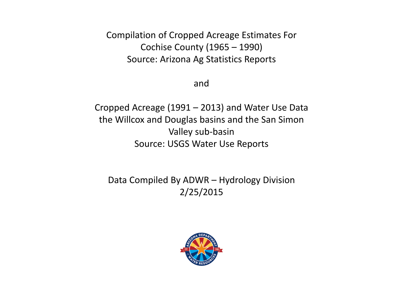Compilation of Cropped Acreage Estimates For Cochise County (1965 – 1990) Source: Arizona Ag Statistics Reports

and

Cropped Acreage (1991 – 2013) and Water Use Data the Willcox and Douglas basins and the San Simon Valley sub-basin Source: USGS Water Use Reports

Data Compiled By ADWR – Hydrology Division 2/25/2015

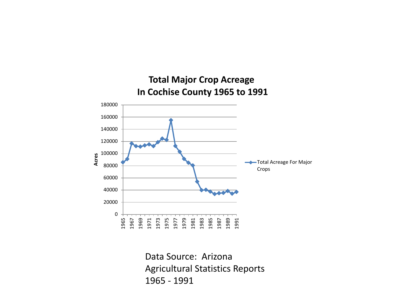

Data Source: Arizona Agricultural Statistics Reports 1965 - 1991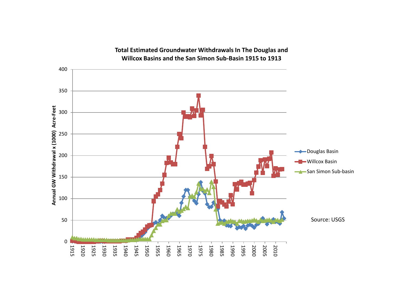

## **Total Estimated Groundwater Withdrawals In The Douglas and Willcox Basins and the San Simon Sub-Basin 1915 to 1913**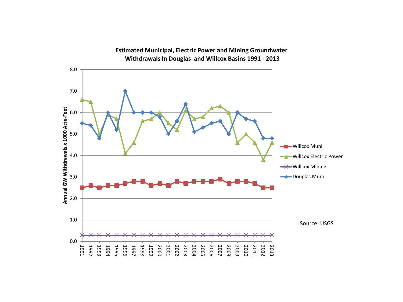

**Estimated Municipal, Electric Power and Mining Groundwater Withdrawals In Douglas and Willcox Basins 1991 - 2013**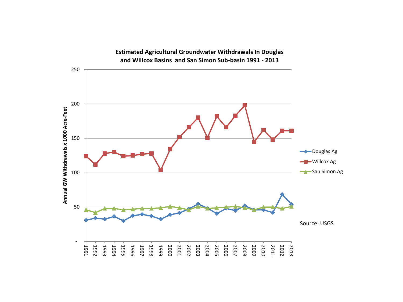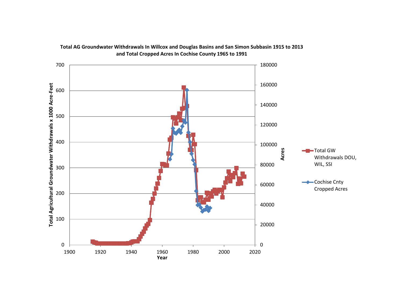

## **Total AG Groundwater Withdrawals In Willcox and Douglas Basins and San Simon Subbasin 1915 to 2013 and Total Cropped Acres In Cochise County 1965 to 1991**